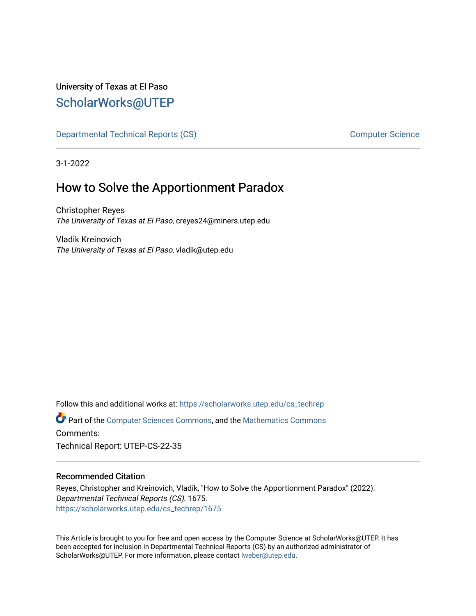# University of Texas at El Paso [ScholarWorks@UTEP](https://scholarworks.utep.edu/)

[Departmental Technical Reports \(CS\)](https://scholarworks.utep.edu/cs_techrep) and the computer Science Computer Science

3-1-2022

# How to Solve the Apportionment Paradox

Christopher Reyes The University of Texas at El Paso, creyes24@miners.utep.edu

Vladik Kreinovich The University of Texas at El Paso, vladik@utep.edu

Follow this and additional works at: [https://scholarworks.utep.edu/cs\\_techrep](https://scholarworks.utep.edu/cs_techrep?utm_source=scholarworks.utep.edu%2Fcs_techrep%2F1675&utm_medium=PDF&utm_campaign=PDFCoverPages) 

Part of the [Computer Sciences Commons](http://network.bepress.com/hgg/discipline/142?utm_source=scholarworks.utep.edu%2Fcs_techrep%2F1675&utm_medium=PDF&utm_campaign=PDFCoverPages), and the [Mathematics Commons](http://network.bepress.com/hgg/discipline/174?utm_source=scholarworks.utep.edu%2Fcs_techrep%2F1675&utm_medium=PDF&utm_campaign=PDFCoverPages)  Comments:

Technical Report: UTEP-CS-22-35

### Recommended Citation

Reyes, Christopher and Kreinovich, Vladik, "How to Solve the Apportionment Paradox" (2022). Departmental Technical Reports (CS). 1675. [https://scholarworks.utep.edu/cs\\_techrep/1675](https://scholarworks.utep.edu/cs_techrep/1675?utm_source=scholarworks.utep.edu%2Fcs_techrep%2F1675&utm_medium=PDF&utm_campaign=PDFCoverPages) 

This Article is brought to you for free and open access by the Computer Science at ScholarWorks@UTEP. It has been accepted for inclusion in Departmental Technical Reports (CS) by an authorized administrator of ScholarWorks@UTEP. For more information, please contact [lweber@utep.edu](mailto:lweber@utep.edu).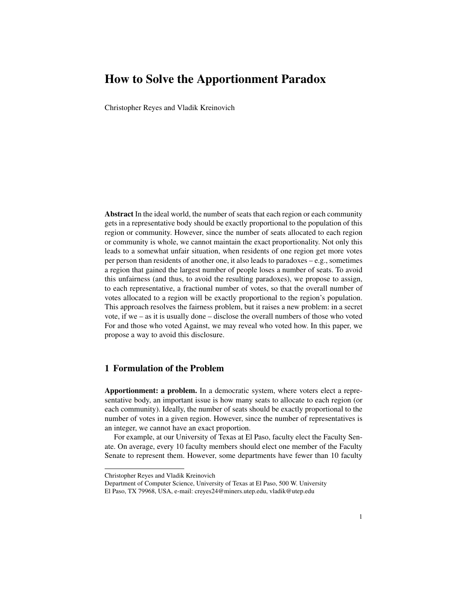# How to Solve the Apportionment Paradox

Christopher Reyes and Vladik Kreinovich

Abstract In the ideal world, the number of seats that each region or each community gets in a representative body should be exactly proportional to the population of this region or community. However, since the number of seats allocated to each region or community is whole, we cannot maintain the exact proportionality. Not only this leads to a somewhat unfair situation, when residents of one region get more votes per person than residents of another one, it also leads to paradoxes – e.g., sometimes a region that gained the largest number of people loses a number of seats. To avoid this unfairness (and thus, to avoid the resulting paradoxes), we propose to assign, to each representative, a fractional number of votes, so that the overall number of votes allocated to a region will be exactly proportional to the region's population. This approach resolves the fairness problem, but it raises a new problem: in a secret vote, if we – as it is usually done – disclose the overall numbers of those who voted For and those who voted Against, we may reveal who voted how. In this paper, we propose a way to avoid this disclosure.

### 1 Formulation of the Problem

Apportionment: a problem. In a democratic system, where voters elect a representative body, an important issue is how many seats to allocate to each region (or each community). Ideally, the number of seats should be exactly proportional to the number of votes in a given region. However, since the number of representatives is an integer, we cannot have an exact proportion.

For example, at our University of Texas at El Paso, faculty elect the Faculty Senate. On average, every 10 faculty members should elect one member of the Faculty Senate to represent them. However, some departments have fewer than 10 faculty

Christopher Reyes and Vladik Kreinovich

Department of Computer Science, University of Texas at El Paso, 500 W. University El Paso, TX 79968, USA, e-mail: creyes24@miners.utep.edu, vladik@utep.edu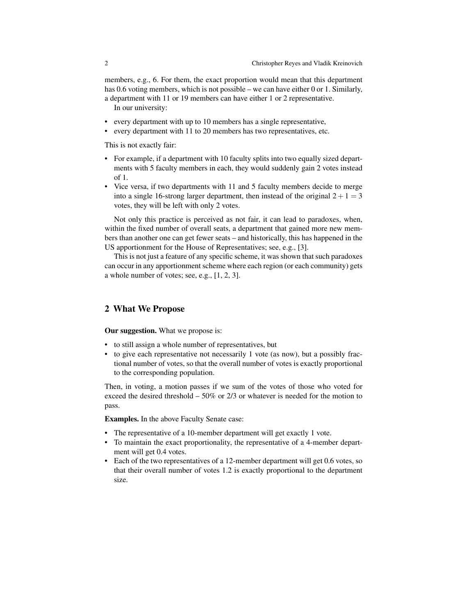members, e.g., 6. For them, the exact proportion would mean that this department has 0.6 voting members, which is not possible – we can have either 0 or 1. Similarly, a department with 11 or 19 members can have either 1 or 2 representative. In our university:

- every department with up to 10 members has a single representative,
- every department with 11 to 20 members has two representatives, etc.

This is not exactly fair:

- For example, if a department with 10 faculty splits into two equally sized departments with 5 faculty members in each, they would suddenly gain 2 votes instead of 1.
- Vice versa, if two departments with 11 and 5 faculty members decide to merge into a single 16-strong larger department, then instead of the original  $2+1=3$ votes, they will be left with only 2 votes.

Not only this practice is perceived as not fair, it can lead to paradoxes, when, within the fixed number of overall seats, a department that gained more new members than another one can get fewer seats – and historically, this has happened in the US apportionment for the House of Representatives; see, e.g., [3].

This is not just a feature of any specific scheme, it was shown that such paradoxes can occur in any apportionment scheme where each region (or each community) gets a whole number of votes; see, e.g., [1, 2, 3].

#### 2 What We Propose

Our suggestion. What we propose is:

- to still assign a whole number of representatives, but
- to give each representative not necessarily 1 vote (as now), but a possibly fractional number of votes, so that the overall number of votes is exactly proportional to the corresponding population.

Then, in voting, a motion passes if we sum of the votes of those who voted for exceed the desired threshold  $-50\%$  or 2/3 or whatever is needed for the motion to pass.

Examples. In the above Faculty Senate case:

- The representative of a 10-member department will get exactly 1 vote.
- To maintain the exact proportionality, the representative of a 4-member department will get 0.4 votes.
- Each of the two representatives of a 12-member department will get 0.6 votes, so that their overall number of votes 1.2 is exactly proportional to the department size.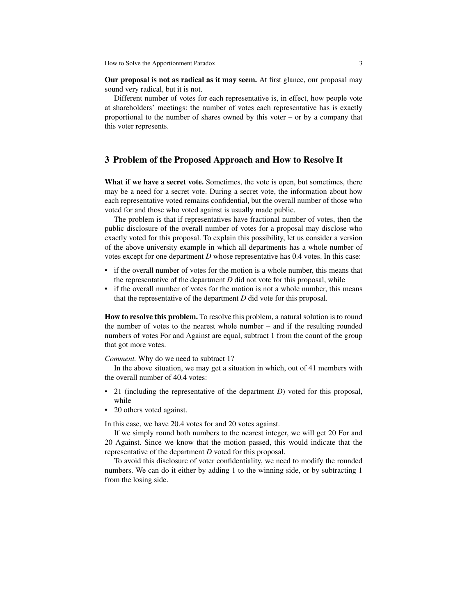Our proposal is not as radical as it may seem. At first glance, our proposal may sound very radical, but it is not.

Different number of votes for each representative is, in effect, how people vote at shareholders' meetings: the number of votes each representative has is exactly proportional to the number of shares owned by this voter – or by a company that this voter represents.

#### 3 Problem of the Proposed Approach and How to Resolve It

What if we have a secret vote. Sometimes, the vote is open, but sometimes, there may be a need for a secret vote. During a secret vote, the information about how each representative voted remains confidential, but the overall number of those who voted for and those who voted against is usually made public.

The problem is that if representatives have fractional number of votes, then the public disclosure of the overall number of votes for a proposal may disclose who exactly voted for this proposal. To explain this possibility, let us consider a version of the above university example in which all departments has a whole number of votes except for one department *D* whose representative has 0.4 votes. In this case:

- if the overall number of votes for the motion is a whole number, this means that the representative of the department  $D$  did not vote for this proposal, while
- if the overall number of votes for the motion is not a whole number, this means that the representative of the department *D* did vote for this proposal.

How to resolve this problem. To resolve this problem, a natural solution is to round the number of votes to the nearest whole number – and if the resulting rounded numbers of votes For and Against are equal, subtract 1 from the count of the group that got more votes.

*Comment.* Why do we need to subtract 1?

In the above situation, we may get a situation in which, out of 41 members with the overall number of 40.4 votes:

- 21 (including the representative of the department *D*) voted for this proposal, while
- 20 others voted against.

In this case, we have 20.4 votes for and 20 votes against.

If we simply round both numbers to the nearest integer, we will get 20 For and 20 Against. Since we know that the motion passed, this would indicate that the representative of the department *D* voted for this proposal.

To avoid this disclosure of voter confidentiality, we need to modify the rounded numbers. We can do it either by adding 1 to the winning side, or by subtracting 1 from the losing side.